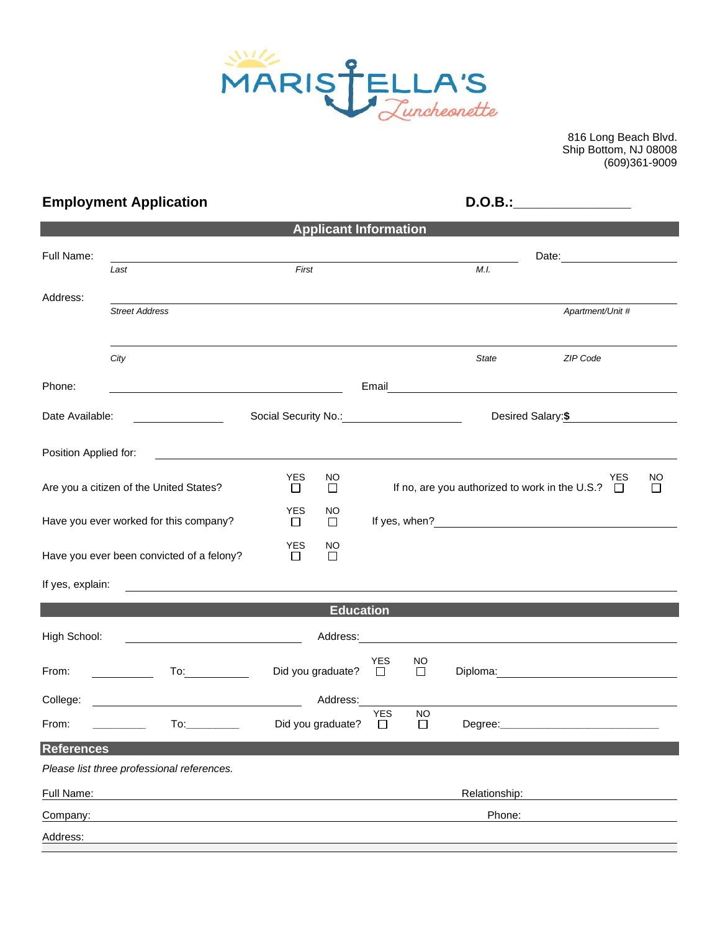

816 Long Beach Blvd. Ship Bottom, NJ 08008 (609)361-9009

| <b>Employment Application</b>             |                                                               |                                           |                              |                      | <b>D.O.B.:</b>      |               |                                                                                                                      |                     |  |  |
|-------------------------------------------|---------------------------------------------------------------|-------------------------------------------|------------------------------|----------------------|---------------------|---------------|----------------------------------------------------------------------------------------------------------------------|---------------------|--|--|
|                                           |                                                               |                                           | <b>Applicant Information</b> |                      |                     |               |                                                                                                                      |                     |  |  |
| Full Name:                                | Last                                                          | First                                     |                              | M.I.                 |                     |               |                                                                                                                      |                     |  |  |
| Address:                                  | <b>Street Address</b>                                         |                                           |                              |                      |                     |               | Apartment/Unit #                                                                                                     |                     |  |  |
|                                           | City                                                          |                                           |                              |                      |                     | State         | ZIP Code                                                                                                             |                     |  |  |
| Phone:                                    |                                                               |                                           |                              |                      |                     |               |                                                                                                                      |                     |  |  |
| Date Available:                           |                                                               | Social Security No.: Social Security No.: |                              | Desired Salary:\$    |                     |               |                                                                                                                      |                     |  |  |
| Position Applied for:                     | <u> 1980 - Jan James Sand, Amerikaansk politiker († 1908)</u> |                                           |                              |                      |                     |               |                                                                                                                      |                     |  |  |
|                                           | Are you a citizen of the United States?                       | <b>YES</b><br>□                           | <b>NO</b><br>$\Box$          |                      |                     |               | YES<br>If no, are you authorized to work in the U.S.? $\Box$                                                         | <b>NO</b><br>$\Box$ |  |  |
|                                           | Have you ever worked for this company?                        | <b>YES</b><br>□                           | NO.<br>$\Box$                |                      |                     |               |                                                                                                                      |                     |  |  |
| Have you ever been convicted of a felony? |                                                               | YES<br>$\Box$                             | NO<br>П                      |                      |                     |               |                                                                                                                      |                     |  |  |
| If yes, explain:                          |                                                               |                                           |                              |                      |                     |               |                                                                                                                      |                     |  |  |
|                                           |                                                               |                                           | <b>Education</b>             |                      |                     |               |                                                                                                                      |                     |  |  |
| High School:                              | <u> 1989 - Johann Barn, mars an t-Amerikaansk politiker (</u> |                                           | Address:                     |                      |                     |               | <u> 1980 - Jan Samuel Barbara, margaret e populari e populari e populari e populari e populari e populari e popu</u> |                     |  |  |
| From:                                     | To:                                                           | Did you graduate?                         |                              | <b>YES</b><br>$\Box$ | <b>NO</b><br>$\Box$ |               |                                                                                                                      |                     |  |  |
| College:                                  |                                                               |                                           | Address:                     |                      |                     |               |                                                                                                                      |                     |  |  |
| From:                                     |                                                               | Did you graduate?                         |                              | <b>YES</b><br>$\Box$ | <b>NO</b><br>$\Box$ | Degree:       |                                                                                                                      |                     |  |  |
| <b>References</b>                         |                                                               |                                           |                              |                      |                     |               |                                                                                                                      |                     |  |  |
|                                           | Please list three professional references.                    |                                           |                              |                      |                     |               |                                                                                                                      |                     |  |  |
| Full Name:                                |                                                               |                                           |                              |                      |                     | Relationship: |                                                                                                                      |                     |  |  |
| Company:                                  |                                                               |                                           |                              |                      |                     | Phone:        |                                                                                                                      |                     |  |  |
| Address:                                  |                                                               |                                           |                              |                      |                     |               |                                                                                                                      |                     |  |  |